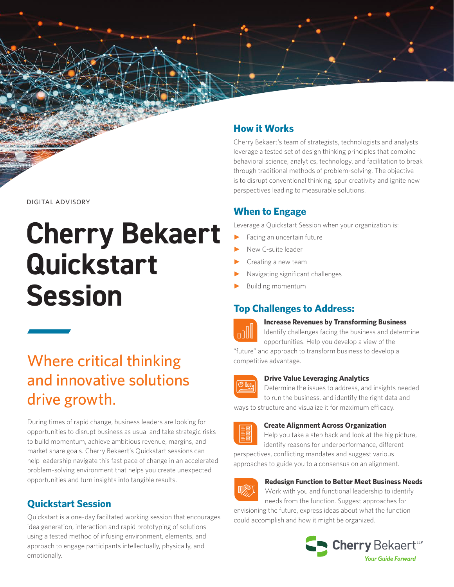

# **Cherry Bekaert Quickstart Session**

## Where critical thinking and innovative solutions drive growth.

During times of rapid change, business leaders are looking for opportunities to disrupt business as usual and take strategic risks to build momentum, achieve ambitious revenue, margins, and market share goals. Cherry Bekaert's Quickstart sessions can help leadership navigate this fast pace of change in an accelerated problem-solving environment that helps you create unexpected opportunities and turn insights into tangible results.

## **Quickstart Session**

Quickstart is a one-day faciltated working session that encourages idea generation, interaction and rapid prototyping of solutions using a tested method of infusing environment, elements, and approach to engage participants intellectually, physically, and emotionally.

## **How it Works**

Cherry Bekaert's team of strategists, technologists and analysts leverage a tested set of design thinking principles that combine behavioral science, analytics, technology, and facilitation to break through traditional methods of problem-solving. The objective is to disrupt conventional thinking, spur creativity and ignite new perspectives leading to measurable solutions.

## **When to Engage**

Leverage a Quickstart Session when your organization is:

- Facing an uncertain future
- New C-suite leader
- Creating a new team
- ► Navigating significant challenges
- Building momentum

## **Top Challenges to Address:**



#### **Increase Revenues by Transforming Business**

Identify challenges facing the business and determine opportunities. Help you develop a view of the

"future" and approach to transform business to develop a competitive advantage.



#### **Drive Value Leveraging Analytics**

Determine the issues to address, and insights needed to run the business, and identify the right data and ways to structure and visualize it for maximum efficacy.



#### **Create Alignment Across Organization**

Help you take a step back and look at the big picture, identify reasons for underperformance, different

perspectives, conflicting mandates and suggest various approaches to guide you to a consensus on an alignment.



#### **Redesign Function to Better Meet Business Needs**

Work with you and functional leadership to identify needs from the function. Suggest approaches for envisioning the future, express ideas about what the function could accomplish and how it might be organized.